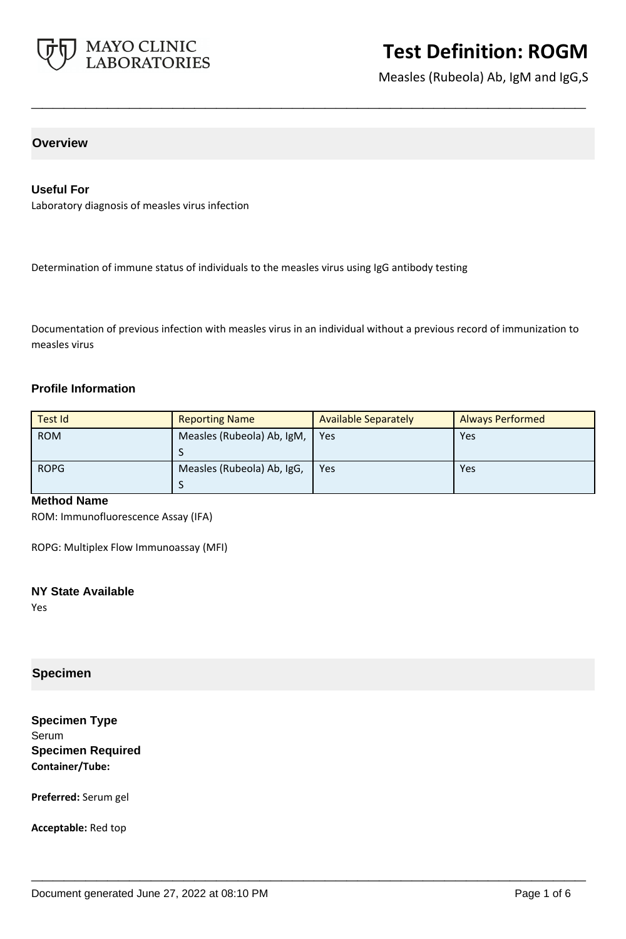

Measles (Rubeola) Ab, IgM and IgG,S

# **Overview**

#### **Useful For**

Laboratory diagnosis of measles virus infection

Determination of immune status of individuals to the measles virus using IgG antibody testing

Documentation of previous infection with measles virus in an individual without a previous record of immunization to measles virus

**\_\_\_\_\_\_\_\_\_\_\_\_\_\_\_\_\_\_\_\_\_\_\_\_\_\_\_\_\_\_\_\_\_\_\_\_\_\_\_\_\_\_\_\_\_\_\_\_\_\_\_**

#### **Profile Information**

| Test Id     | <b>Reporting Name</b>      | <b>Available Separately</b> | <b>Always Performed</b> |
|-------------|----------------------------|-----------------------------|-------------------------|
| <b>ROM</b>  | Measles (Rubeola) Ab, IgM, | Yes                         | Yes                     |
| <b>ROPG</b> | Measles (Rubeola) Ab, IgG, | Yes                         | Yes                     |

**\_\_\_\_\_\_\_\_\_\_\_\_\_\_\_\_\_\_\_\_\_\_\_\_\_\_\_\_\_\_\_\_\_\_\_\_\_\_\_\_\_\_\_\_\_\_\_\_\_\_\_**

## **Method Name**

ROM: Immunofluorescence Assay (IFA)

ROPG: Multiplex Flow Immunoassay (MFI)

#### **NY State Available**

Yes

## **Specimen**

**Specimen Type** Serum **Specimen Required Container/Tube:**

**Preferred:** Serum gel

**Acceptable:** Red top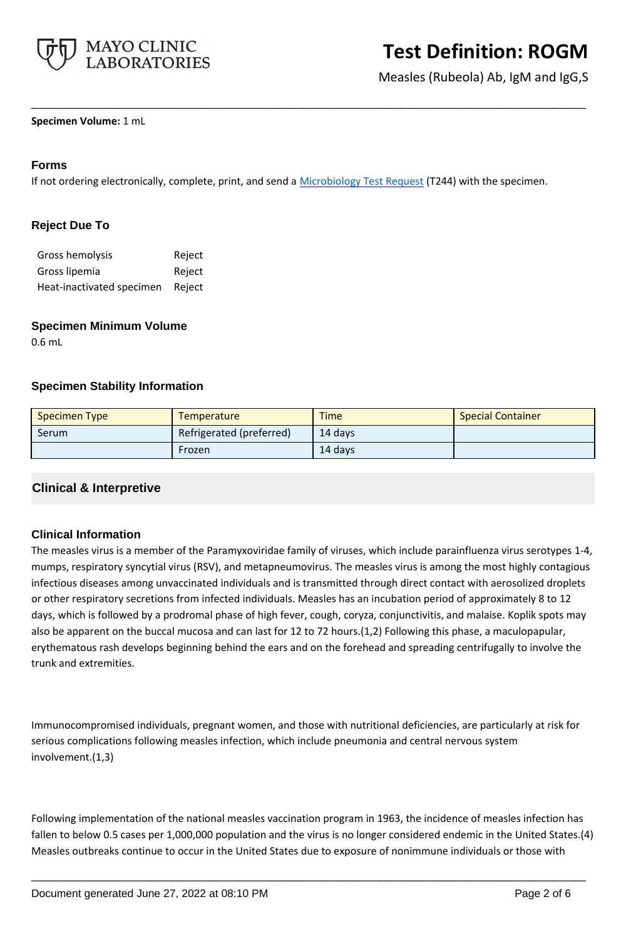

Measles (Rubeola) Ab, IgM and IgG,S

#### **Specimen Volume:** 1 mL

### **Forms**

If not ordering electronically, complete, print, and send a [Microbiology Test Request](https://www.mayocliniclabs.com/it-mmfiles/Microbiology_Test_Request_Form.pdf) (T244) with the specimen.

**\_\_\_\_\_\_\_\_\_\_\_\_\_\_\_\_\_\_\_\_\_\_\_\_\_\_\_\_\_\_\_\_\_\_\_\_\_\_\_\_\_\_\_\_\_\_\_\_\_\_\_**

## **Reject Due To**

| Gross hemolysis           | Reject |
|---------------------------|--------|
| Gross lipemia             | Reject |
| Heat-inactivated specimen | Reject |

#### **Specimen Minimum Volume**

0.6 mL

#### **Specimen Stability Information**

| <b>Specimen Type</b> | <b>Temperature</b>       | <b>Time</b> | <b>Special Container</b> |
|----------------------|--------------------------|-------------|--------------------------|
| <b>Serum</b>         | Refrigerated (preferred) | 14 davs     |                          |
|                      | Frozen                   | 14 days     |                          |

## **Clinical & Interpretive**

#### **Clinical Information**

The measles virus is a member of the Paramyxoviridae family of viruses, which include parainfluenza virus serotypes 1-4, mumps, respiratory syncytial virus (RSV), and metapneumovirus. The measles virus is among the most highly contagious infectious diseases among unvaccinated individuals and is transmitted through direct contact with aerosolized droplets or other respiratory secretions from infected individuals. Measles has an incubation period of approximately 8 to 12 days, which is followed by a prodromal phase of high fever, cough, coryza, conjunctivitis, and malaise. Koplik spots may also be apparent on the buccal mucosa and can last for 12 to 72 hours.(1,2) Following this phase, a maculopapular, erythematous rash develops beginning behind the ears and on the forehead and spreading centrifugally to involve the trunk and extremities.

Immunocompromised individuals, pregnant women, and those with nutritional deficiencies, are particularly at risk for serious complications following measles infection, which include pneumonia and central nervous system involvement.(1,3)

Following implementation of the national measles vaccination program in 1963, the incidence of measles infection has fallen to below 0.5 cases per 1,000,000 population and the virus is no longer considered endemic in the United States.(4) Measles outbreaks continue to occur in the United States due to exposure of nonimmune individuals or those with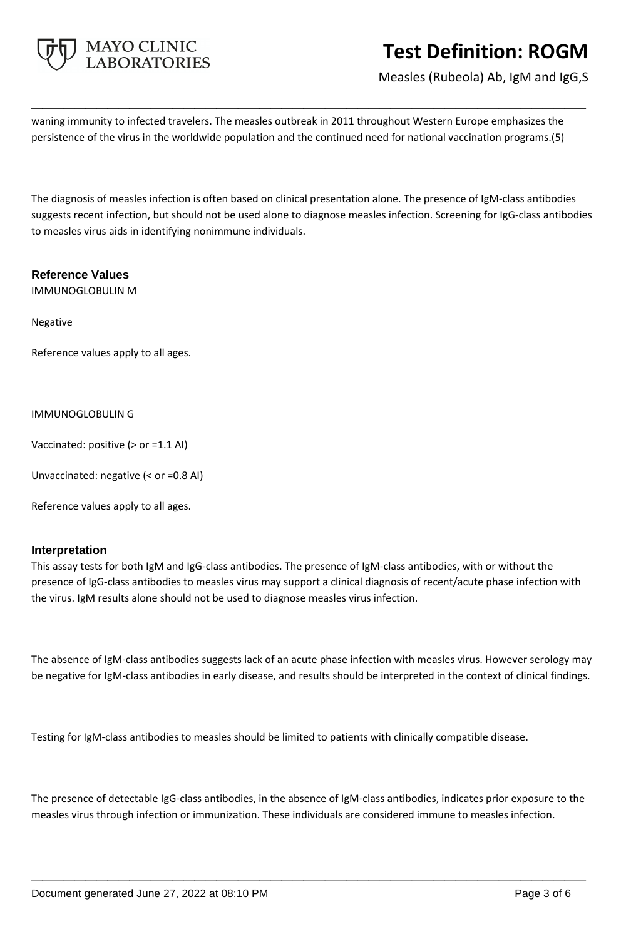

Measles (Rubeola) Ab, IgM and IgG,S

waning immunity to infected travelers. The measles outbreak in 2011 throughout Western Europe emphasizes the persistence of the virus in the worldwide population and the continued need for national vaccination programs.(5)

**\_\_\_\_\_\_\_\_\_\_\_\_\_\_\_\_\_\_\_\_\_\_\_\_\_\_\_\_\_\_\_\_\_\_\_\_\_\_\_\_\_\_\_\_\_\_\_\_\_\_\_**

The diagnosis of measles infection is often based on clinical presentation alone. The presence of IgM-class antibodies suggests recent infection, but should not be used alone to diagnose measles infection. Screening for IgG-class antibodies to measles virus aids in identifying nonimmune individuals.

#### **Reference Values**

IMMUNOGLOBULIN M

Negative

Reference values apply to all ages.

#### IMMUNOGLOBULIN G

Vaccinated: positive (> or =1.1 AI)

Unvaccinated: negative (< or =0.8 AI)

Reference values apply to all ages.

## **Interpretation**

This assay tests for both IgM and IgG-class antibodies. The presence of IgM-class antibodies, with or without the presence of IgG-class antibodies to measles virus may support a clinical diagnosis of recent/acute phase infection with the virus. IgM results alone should not be used to diagnose measles virus infection.

The absence of IgM-class antibodies suggests lack of an acute phase infection with measles virus. However serology may be negative for IgM-class antibodies in early disease, and results should be interpreted in the context of clinical findings.

Testing for IgM-class antibodies to measles should be limited to patients with clinically compatible disease.

The presence of detectable IgG-class antibodies, in the absence of IgM-class antibodies, indicates prior exposure to the measles virus through infection or immunization. These individuals are considered immune to measles infection.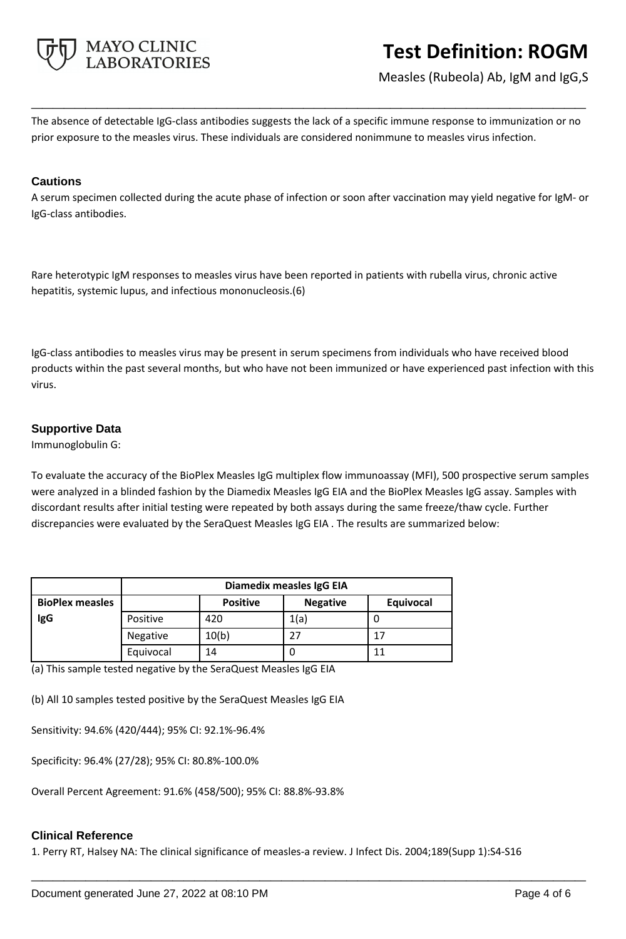

Measles (Rubeola) Ab, IgM and IgG,S

The absence of detectable IgG-class antibodies suggests the lack of a specific immune response to immunization or no prior exposure to the measles virus. These individuals are considered nonimmune to measles virus infection.

**\_\_\_\_\_\_\_\_\_\_\_\_\_\_\_\_\_\_\_\_\_\_\_\_\_\_\_\_\_\_\_\_\_\_\_\_\_\_\_\_\_\_\_\_\_\_\_\_\_\_\_**

#### **Cautions**

A serum specimen collected during the acute phase of infection or soon after vaccination may yield negative for IgM- or IgG-class antibodies.

Rare heterotypic IgM responses to measles virus have been reported in patients with rubella virus, chronic active hepatitis, systemic lupus, and infectious mononucleosis.(6)

IgG-class antibodies to measles virus may be present in serum specimens from individuals who have received blood products within the past several months, but who have not been immunized or have experienced past infection with this virus.

# **Supportive Data**

Immunoglobulin G:

To evaluate the accuracy of the BioPlex Measles IgG multiplex flow immunoassay (MFI), 500 prospective serum samples were analyzed in a blinded fashion by the Diamedix Measles IgG EIA and the BioPlex Measles IgG assay. Samples with discordant results after initial testing were repeated by both assays during the same freeze/thaw cycle. Further discrepancies were evaluated by the SeraQuest Measles IgG EIA . The results are summarized below:

|                        | Diamedix measles IgG EIA |                 |                 |           |
|------------------------|--------------------------|-----------------|-----------------|-----------|
| <b>BioPlex measles</b> |                          | <b>Positive</b> | <b>Negative</b> | Equivocal |
| <b>IgG</b>             | Positive                 | 420             | 1(a)            |           |
|                        | Negative                 | 10(b)           | 27              | 17        |
|                        | Equivocal                | 14              | U               | 11        |

(a) This sample tested negative by the SeraQuest Measles IgG EIA

(b) All 10 samples tested positive by the SeraQuest Measles IgG EIA

Sensitivity: 94.6% (420/444); 95% CI: 92.1%-96.4%

Specificity: 96.4% (27/28); 95% CI: 80.8%-100.0%

Overall Percent Agreement: 91.6% (458/500); 95% CI: 88.8%-93.8%

## **Clinical Reference**

1. Perry RT, Halsey NA: The clinical significance of measles-a review. J Infect Dis. 2004;189(Supp 1):S4-S16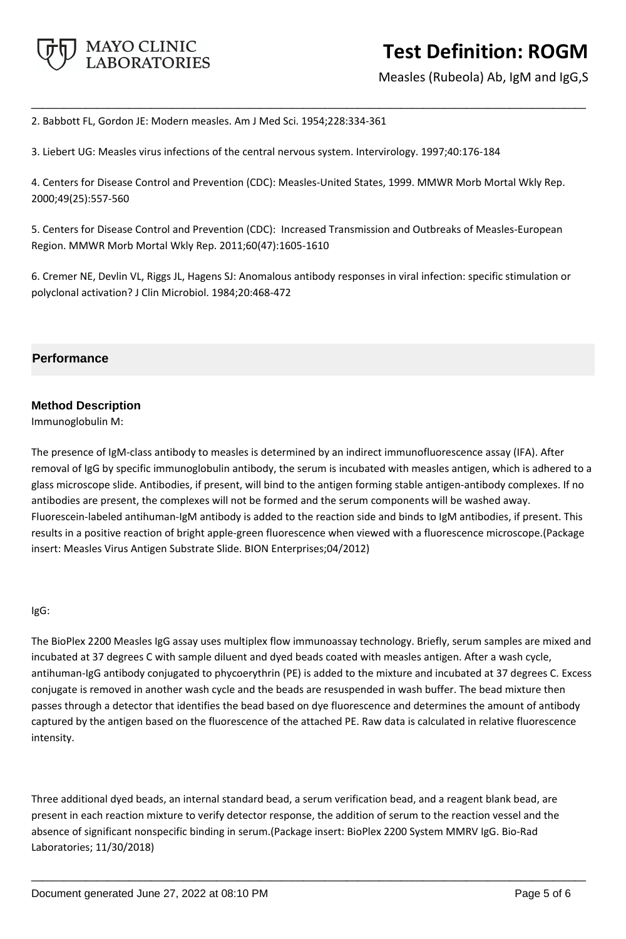

Measles (Rubeola) Ab, IgM and IgG,S

2. Babbott FL, Gordon JE: Modern measles. Am J Med Sci. 1954;228:334-361

3. Liebert UG: Measles virus infections of the central nervous system. Intervirology. 1997;40:176-184

4. Centers for Disease Control and Prevention (CDC): Measles-United States, 1999. MMWR Morb Mortal Wkly Rep. 2000;49(25):557-560

**\_\_\_\_\_\_\_\_\_\_\_\_\_\_\_\_\_\_\_\_\_\_\_\_\_\_\_\_\_\_\_\_\_\_\_\_\_\_\_\_\_\_\_\_\_\_\_\_\_\_\_**

5. Centers for Disease Control and Prevention (CDC): Increased Transmission and Outbreaks of Measles-European Region. MMWR Morb Mortal Wkly Rep. 2011;60(47):1605-1610

6. Cremer NE, Devlin VL, Riggs JL, Hagens SJ: Anomalous antibody responses in viral infection: specific stimulation or polyclonal activation? J Clin Microbiol. 1984;20:468-472

# **Performance**

# **Method Description**

Immunoglobulin M:

The presence of IgM-class antibody to measles is determined by an indirect immunofluorescence assay (IFA). After removal of IgG by specific immunoglobulin antibody, the serum is incubated with measles antigen, which is adhered to a glass microscope slide. Antibodies, if present, will bind to the antigen forming stable antigen-antibody complexes. If no antibodies are present, the complexes will not be formed and the serum components will be washed away. Fluorescein-labeled antihuman-IgM antibody is added to the reaction side and binds to IgM antibodies, if present. This results in a positive reaction of bright apple-green fluorescence when viewed with a fluorescence microscope.(Package insert: Measles Virus Antigen Substrate Slide. BION Enterprises;04/2012)

#### IgG:

The BioPlex 2200 Measles IgG assay uses multiplex flow immunoassay technology. Briefly, serum samples are mixed and incubated at 37 degrees C with sample diluent and dyed beads coated with measles antigen. After a wash cycle, antihuman-IgG antibody conjugated to phycoerythrin (PE) is added to the mixture and incubated at 37 degrees C. Excess conjugate is removed in another wash cycle and the beads are resuspended in wash buffer. The bead mixture then passes through a detector that identifies the bead based on dye fluorescence and determines the amount of antibody captured by the antigen based on the fluorescence of the attached PE. Raw data is calculated in relative fluorescence intensity.

Three additional dyed beads, an internal standard bead, a serum verification bead, and a reagent blank bead, are present in each reaction mixture to verify detector response, the addition of serum to the reaction vessel and the absence of significant nonspecific binding in serum.(Package insert: BioPlex 2200 System MMRV IgG. Bio-Rad Laboratories; 11/30/2018)